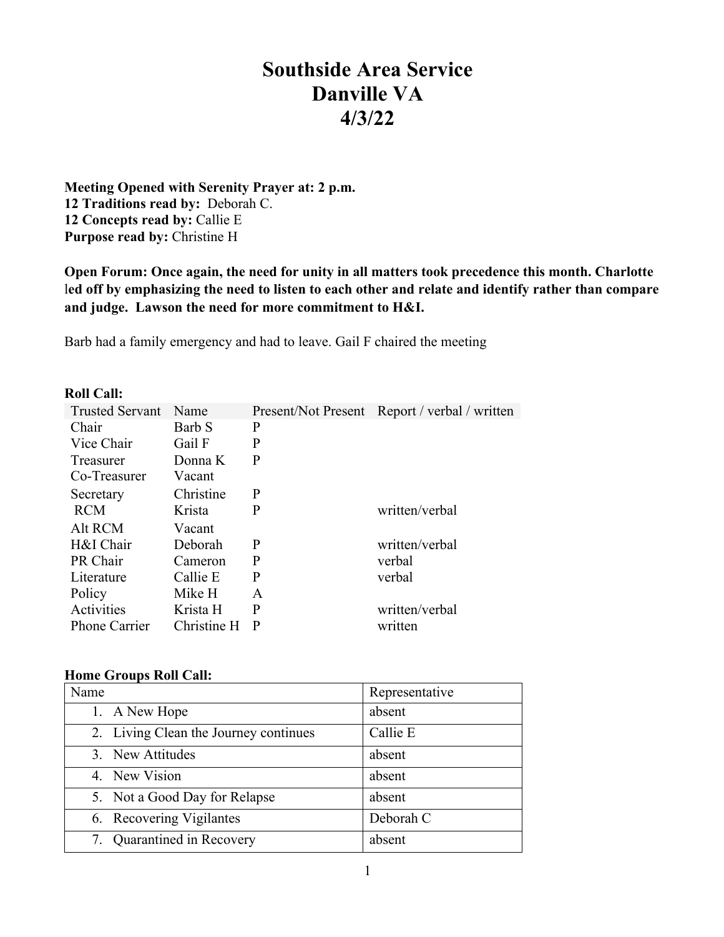# **Southside Area Service Danville VA 4/3/22**

**Meeting Opened with Serenity Prayer at: 2 p.m. 12 Traditions read by:** Deborah C. **12 Concepts read by:** Callie E **Purpose read by:** Christine H

**Open Forum: Once again, the need for unity in all matters took precedence this month. Charlotte**  l**ed off by emphasizing the need to listen to each other and relate and identify rather than compare and judge. Lawson the need for more commitment to H&I.**

Barb had a family emergency and had to leave. Gail F chaired the meeting

#### **Roll Call:**

| <b>Trusted Servant</b> | Name        |   | Present/Not Present Report / verbal / written |
|------------------------|-------------|---|-----------------------------------------------|
| Chair                  | Barb S      | P |                                               |
| Vice Chair             | Gail F      | P |                                               |
| <b>Treasurer</b>       | Donna K     | P |                                               |
| Co-Treasurer           | Vacant      |   |                                               |
| Secretary              | Christine   | P |                                               |
| <b>RCM</b>             | Krista      | P | written/verbal                                |
| Alt RCM                | Vacant      |   |                                               |
| H&I Chair              | Deborah     | P | written/verbal                                |
| PR Chair               | Cameron     | P | verbal                                        |
| Literature             | Callie E    | P | verbal                                        |
| Policy                 | Mike H      | A |                                               |
| Activities             | Krista H    | P | written/verbal                                |
| <b>Phone Carrier</b>   | Christine H | P | written                                       |

#### **Home Groups Roll Call:**

| Name                                  | Representative |
|---------------------------------------|----------------|
| 1. A New Hope                         | absent         |
| 2. Living Clean the Journey continues | Callie E       |
| 3. New Attitudes                      | absent         |
| 4. New Vision                         | absent         |
| 5. Not a Good Day for Relapse         | absent         |
| 6. Recovering Vigilantes              | Deborah C      |
| Quarantined in Recovery<br>7.         | absent         |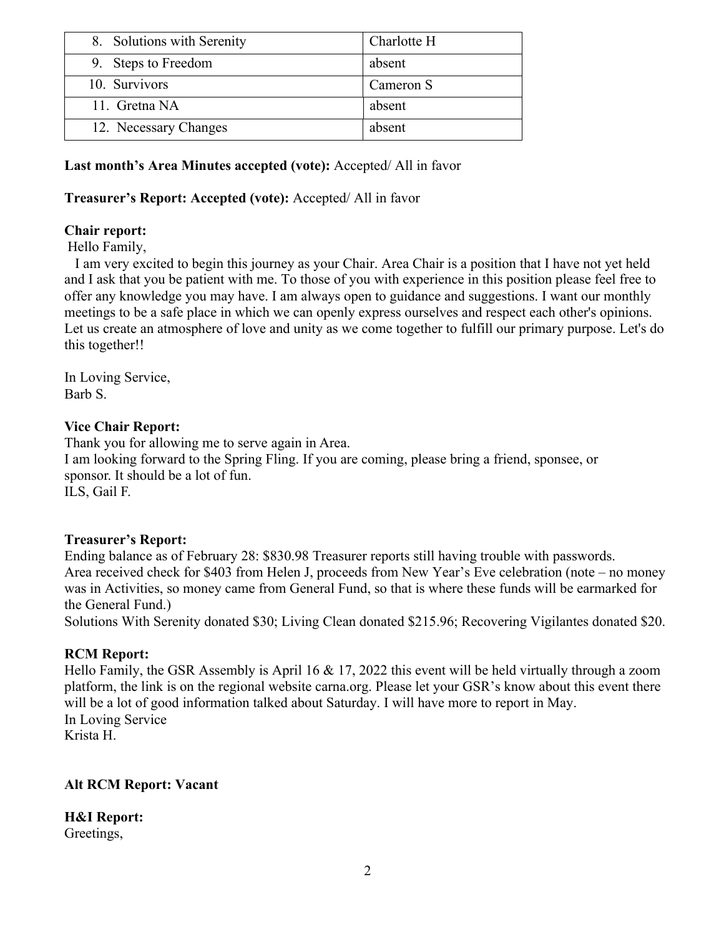| 8. Solutions with Serenity | Charlotte H |
|----------------------------|-------------|
| 9. Steps to Freedom        | absent      |
| 10. Survivors              | Cameron S   |
| 11. Gretna NA              | absent      |
| 12. Necessary Changes      | absent      |

## **Last month's Area Minutes accepted (vote):** Accepted/ All in favor

## **Treasurer's Report: Accepted (vote):** Accepted/ All in favor

## **Chair report:**

Hello Family,

I am very excited to begin this journey as your Chair. Area Chair is a position that I have not yet held and I ask that you be patient with me. To those of you with experience in this position please feel free to offer any knowledge you may have. I am always open to guidance and suggestions. I want our monthly meetings to be a safe place in which we can openly express ourselves and respect each other's opinions. Let us create an atmosphere of love and unity as we come together to fulfill our primary purpose. Let's do this together!!

In Loving Service, Barb S.

### **Vice Chair Report:**

Thank you for allowing me to serve again in Area. I am looking forward to the Spring Fling. If you are coming, please bring a friend, sponsee, or sponsor. It should be a lot of fun. ILS, Gail F.

### **Treasurer's Report:**

Ending balance as of February 28: \$830.98 Treasurer reports still having trouble with passwords. Area received check for \$403 from Helen J, proceeds from New Year's Eve celebration (note – no money was in Activities, so money came from General Fund, so that is where these funds will be earmarked for the General Fund.)

Solutions With Serenity donated \$30; Living Clean donated \$215.96; Recovering Vigilantes donated \$20.

### **RCM Report:**

Hello Family, the GSR Assembly is April 16 & 17, 2022 this event will be held virtually through a zoom platform, the link is on the regional website carna.org. Please let your GSR's know about this event there will be a lot of good information talked about Saturday. I will have more to report in May. In Loving Service Krista H.

### **Alt RCM Report: Vacant**

**H&I Report:**  Greetings,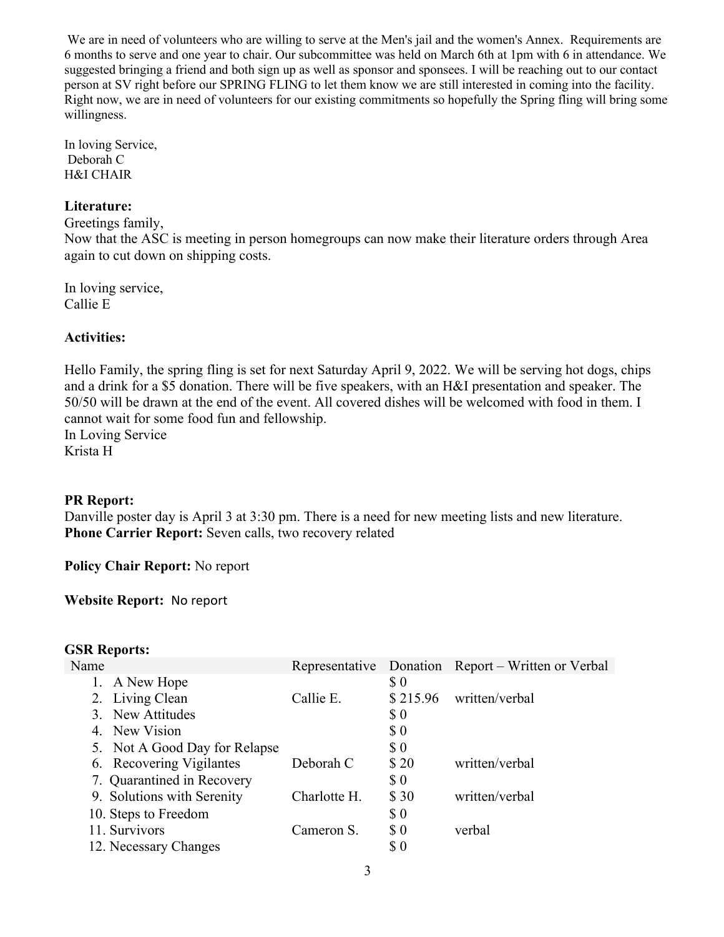We are in need of volunteers who are willing to serve at the Men's jail and the women's Annex. Requirements are 6 months to serve and one year to chair. Our subcommittee was held on March 6th at 1pm with 6 in attendance. We suggested bringing a friend and both sign up as well as sponsor and sponsees. I will be reaching out to our contact person at SV right before our SPRING FLING to let them know we are still interested in coming into the facility. Right now, we are in need of volunteers for our existing commitments so hopefully the Spring fling will bring some willingness.

In loving Service, Deborah C H&I CHAIR

### **Literature:**

Greetings family,

Now that the ASC is meeting in person homegroups can now make their literature orders through Area again to cut down on shipping costs.

In loving service, Callie E

### **Activities:**

Hello Family, the spring fling is set for next Saturday April 9, 2022. We will be serving hot dogs, chips and a drink for a \$5 donation. There will be five speakers, with an H&I presentation and speaker. The 50/50 will be drawn at the end of the event. All covered dishes will be welcomed with food in them. I cannot wait for some food fun and fellowship. In Loving Service Krista H

**PR Report:**

Danville poster day is April 3 at 3:30 pm. There is a need for new meeting lists and new literature. **Phone Carrier Report:** Seven calls, two recovery related

**Policy Chair Report:** No report

**Website Report:** No report

#### **GSR Reports:**

| Name |                               |              |                                                    | Representative Donation Report – Written or Verbal |
|------|-------------------------------|--------------|----------------------------------------------------|----------------------------------------------------|
|      | 1. A New Hope                 |              | \$0                                                |                                                    |
|      | 2. Living Clean               | Callie E.    | \$215.96                                           | written/verbal                                     |
|      | 3. New Attitudes              |              | $\boldsymbol{\mathsf{S}}\,\boldsymbol{\mathsf{0}}$ |                                                    |
|      | 4. New Vision                 |              | $\boldsymbol{\mathsf{S}}\,\boldsymbol{\mathsf{0}}$ |                                                    |
|      | 5. Not A Good Day for Relapse |              | $\boldsymbol{\mathsf{S}}\,\boldsymbol{\mathsf{0}}$ |                                                    |
|      | 6. Recovering Vigilantes      | Deborah C    | \$20                                               | written/verbal                                     |
|      | 7. Quarantined in Recovery    |              | $\boldsymbol{\mathsf{S}}\,\boldsymbol{\mathsf{0}}$ |                                                    |
|      | 9. Solutions with Serenity    | Charlotte H. | \$ 30                                              | written/verbal                                     |
|      | 10. Steps to Freedom          |              | \$0                                                |                                                    |
|      | 11. Survivors                 | Cameron S.   | $\pmb{\mathcal{S}}$ 0                              | verbal                                             |
|      | 12. Necessary Changes         |              | \$0                                                |                                                    |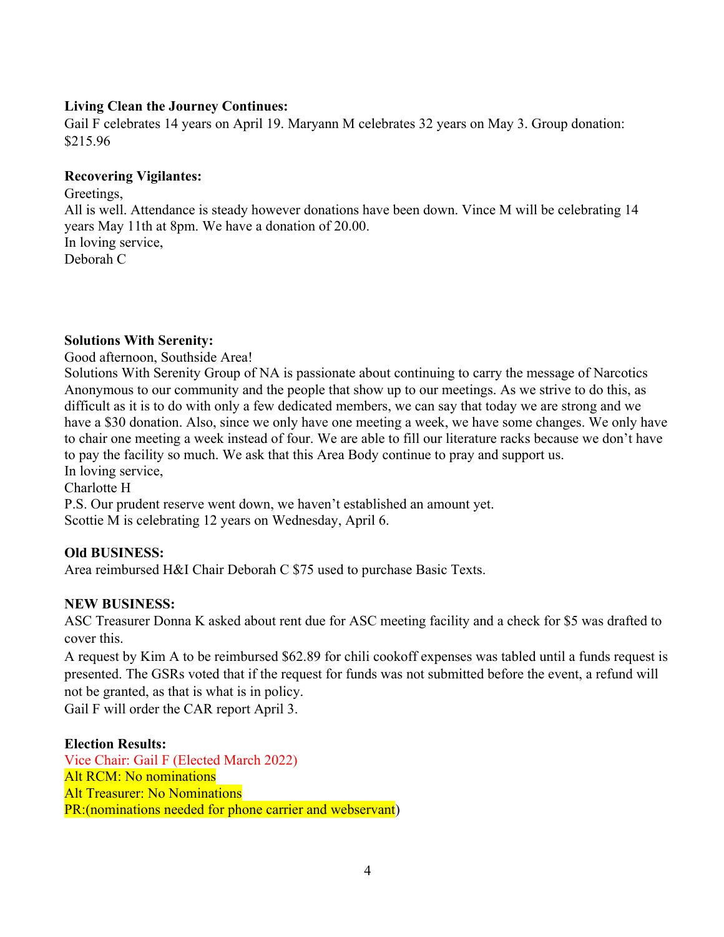## **Living Clean the Journey Continues:**

Gail F celebrates 14 years on April 19. Maryann M celebrates 32 years on May 3. Group donation: \$215.96

## **Recovering Vigilantes:**

Greetings, All is well. Attendance is steady however donations have been down. Vince M will be celebrating 14 years May 11th at 8pm. We have a donation of 20.00. In loving service, Deborah C

### **Solutions With Serenity:**

Good afternoon, Southside Area!

Solutions With Serenity Group of NA is passionate about continuing to carry the message of Narcotics Anonymous to our community and the people that show up to our meetings. As we strive to do this, as difficult as it is to do with only a few dedicated members, we can say that today we are strong and we have a \$30 donation. Also, since we only have one meeting a week, we have some changes. We only have to chair one meeting a week instead of four. We are able to fill our literature racks because we don't have to pay the facility so much. We ask that this Area Body continue to pray and support us. In loving service,

Charlotte H

P.S. Our prudent reserve went down, we haven't established an amount yet. Scottie M is celebrating 12 years on Wednesday, April 6.

### **Old BUSINESS:**

Area reimbursed H&I Chair Deborah C \$75 used to purchase Basic Texts.

# **NEW BUSINESS:**

ASC Treasurer Donna K asked about rent due for ASC meeting facility and a check for \$5 was drafted to cover this.

A request by Kim A to be reimbursed \$62.89 for chili cookoff expenses was tabled until a funds request is presented. The GSRs voted that if the request for funds was not submitted before the event, a refund will not be granted, as that is what is in policy.

Gail F will order the CAR report April 3.

### **Election Results:**

Vice Chair: Gail F (Elected March 2022) Alt RCM: No nominations Alt Treasurer: No Nominations PR:(nominations needed for phone carrier and webservant)